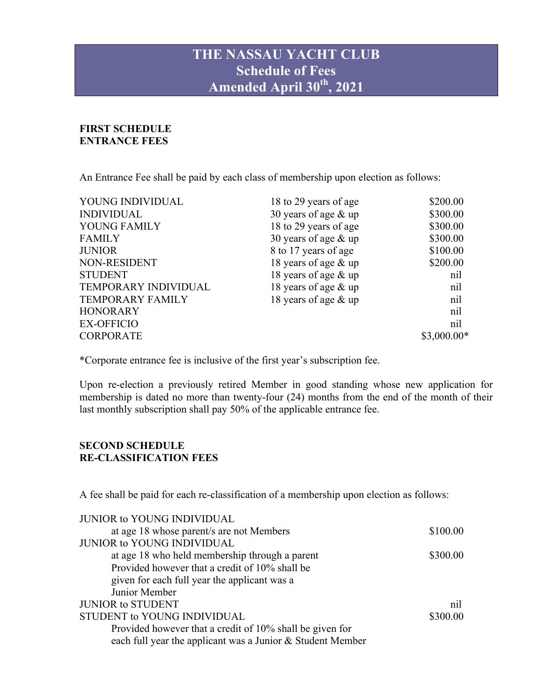# **THE NASSAU YACHT CLUB Schedule of Fees Amended April 30th , 2021**

## **FIRST SCHEDULE ENTRANCE FEES**

An Entrance Fee shall be paid by each class of membership upon election as follows:

| YOUNG INDIVIDUAL        | 18 to 29 years of age  | \$200.00     |
|-------------------------|------------------------|--------------|
| <b>INDIVIDUAL</b>       | 30 years of age $&$ up | \$300.00     |
| YOUNG FAMILY            | 18 to 29 years of age  | \$300.00     |
| <b>FAMILY</b>           | 30 years of age $&$ up | \$300.00     |
| <b>JUNIOR</b>           | 8 to 17 years of age   | \$100.00     |
| NON-RESIDENT            | 18 years of age & up   | \$200.00     |
| <b>STUDENT</b>          | 18 years of age & up   | nil          |
| TEMPORARY INDIVIDUAL    | 18 years of age $&$ up | nil          |
| <b>TEMPORARY FAMILY</b> | 18 years of age & up   | nil          |
| <b>HONORARY</b>         |                        | nil          |
| <b>EX-OFFICIO</b>       |                        | nil          |
| <b>CORPORATE</b>        |                        | $$3,000.00*$ |

\*Corporate entrance fee is inclusive of the first year's subscription fee.

Upon re-election a previously retired Member in good standing whose new application for membership is dated no more than twenty-four (24) months from the end of the month of their last monthly subscription shall pay 50% of the applicable entrance fee.

#### **SECOND SCHEDULE RE-CLASSIFICATION FEES**

A fee shall be paid for each re-classification of a membership upon election as follows:

| <b>JUNIOR to YOUNG INDIVIDUAL</b>                          |          |
|------------------------------------------------------------|----------|
| at age 18 whose parent/s are not Members                   | \$100.00 |
| <b>JUNIOR to YOUNG INDIVIDUAL</b>                          |          |
| at age 18 who held membership through a parent             | \$300.00 |
| Provided however that a credit of 10% shall be             |          |
| given for each full year the applicant was a               |          |
| Junior Member                                              |          |
| <b>JUNIOR to STUDENT</b>                                   | nil      |
| STUDENT to YOUNG INDIVIDUAL                                | \$300.00 |
| Provided however that a credit of 10% shall be given for   |          |
| each full year the applicant was a Junior & Student Member |          |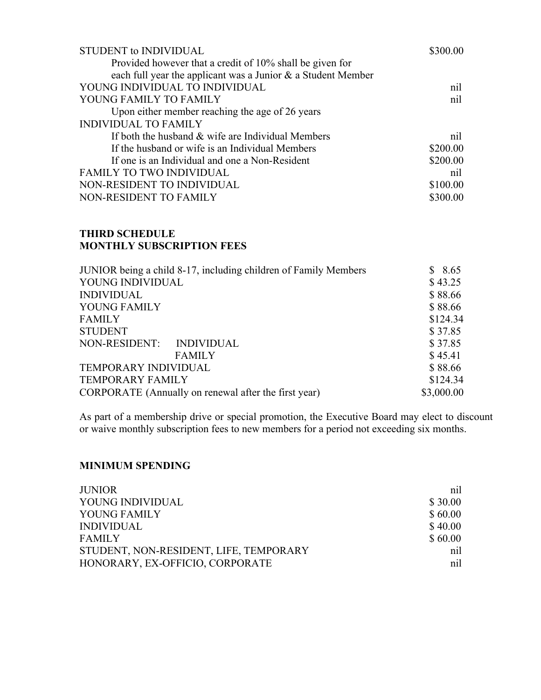| \$300.00 |
|----------|
|          |
|          |
| nil      |
| nil      |
|          |
|          |
| nil      |
| \$200.00 |
| \$200.00 |
| nil      |
| \$100.00 |
| \$300.00 |
|          |

### **THIRD SCHEDULE MONTHLY SUBSCRIPTION FEES**

| JUNIOR being a child 8-17, including children of Family Members | \$8.65     |
|-----------------------------------------------------------------|------------|
| YOUNG INDIVIDUAL                                                | \$43.25    |
| <b>INDIVIDUAL</b>                                               | \$88.66    |
| YOUNG FAMILY                                                    | \$88.66    |
| <b>FAMILY</b>                                                   | \$124.34   |
| <b>STUDENT</b>                                                  | \$37.85    |
| NON-RESIDENT: INDIVIDUAL                                        | \$37.85    |
| <b>FAMILY</b>                                                   | \$45.41    |
| TEMPORARY INDIVIDUAL                                            | \$88.66    |
| <b>TEMPORARY FAMILY</b>                                         | \$124.34   |
| CORPORATE (Annually on renewal after the first year)            | \$3,000.00 |

As part of a membership drive or special promotion, the Executive Board may elect to discount or waive monthly subscription fees to new members for a period not exceeding six months.

#### **MINIMUM SPENDING**

| <b>JUNIOR</b>                          | nil     |
|----------------------------------------|---------|
| YOUNG INDIVIDUAL                       | \$30.00 |
| YOUNG FAMILY                           | \$60.00 |
| <b>INDIVIDUAL</b>                      | \$40.00 |
| <b>FAMILY</b>                          | \$60.00 |
| STUDENT, NON-RESIDENT, LIFE, TEMPORARY | nil     |
| HONORARY, EX-OFFICIO, CORPORATE        | nil     |